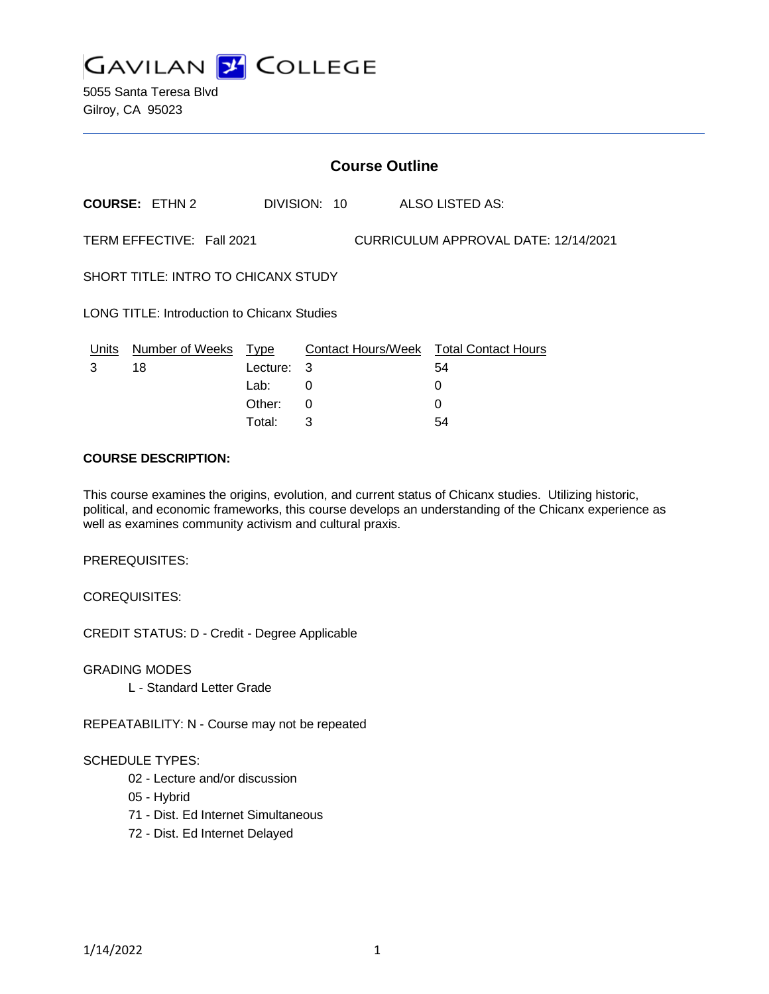

5055 Santa Teresa Blvd Gilroy, CA 95023

| <b>Course Outline</b>                                             |                       |                         |     |              |  |                                              |
|-------------------------------------------------------------------|-----------------------|-------------------------|-----|--------------|--|----------------------------------------------|
|                                                                   | <b>COURSE: ETHN 2</b> |                         |     | DIVISION: 10 |  | ALSO LISTED AS:                              |
| TERM EFFECTIVE: Fall 2021<br>CURRICULUM APPROVAL DATE: 12/14/2021 |                       |                         |     |              |  |                                              |
| <b>SHORT TITLE: INTRO TO CHICANX STUDY</b>                        |                       |                         |     |              |  |                                              |
| LONG TITLE: Introduction to Chicanx Studies                       |                       |                         |     |              |  |                                              |
| Units<br>3                                                        | Number of Weeks<br>18 | <u>Type</u><br>Lecture: | - 3 |              |  | Contact Hours/Week Total Contact Hours<br>54 |
|                                                                   |                       | Lab:<br>Other:          | 0   |              |  | 0                                            |
|                                                                   |                       |                         | 0   |              |  | 0                                            |

Total: 3 54

#### **COURSE DESCRIPTION:**

This course examines the origins, evolution, and current status of Chicanx studies. Utilizing historic, political, and economic frameworks, this course develops an understanding of the Chicanx experience as well as examines community activism and cultural praxis.

PREREQUISITES:

COREQUISITES:

CREDIT STATUS: D - Credit - Degree Applicable

GRADING MODES

L - Standard Letter Grade

REPEATABILITY: N - Course may not be repeated

#### SCHEDULE TYPES:

- 02 Lecture and/or discussion
- 05 Hybrid
- 71 Dist. Ed Internet Simultaneous
- 72 Dist. Ed Internet Delayed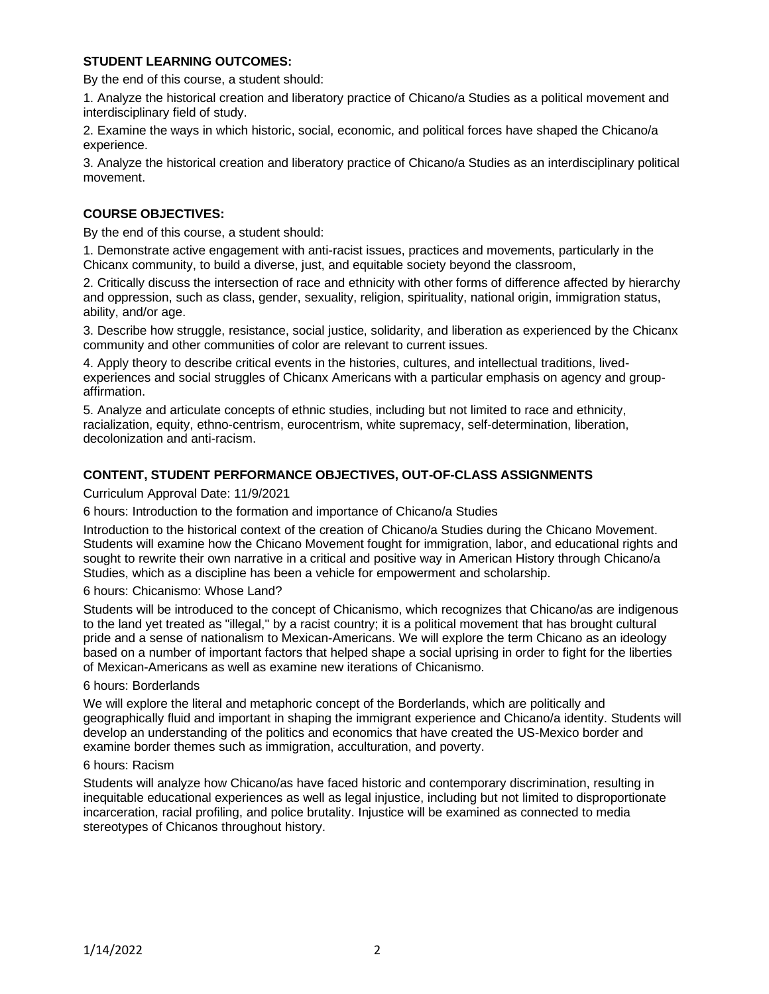## **STUDENT LEARNING OUTCOMES:**

By the end of this course, a student should:

1. Analyze the historical creation and liberatory practice of Chicano/a Studies as a political movement and interdisciplinary field of study.

2. Examine the ways in which historic, social, economic, and political forces have shaped the Chicano/a experience.

3. Analyze the historical creation and liberatory practice of Chicano/a Studies as an interdisciplinary political movement.

# **COURSE OBJECTIVES:**

By the end of this course, a student should:

1. Demonstrate active engagement with anti-racist issues, practices and movements, particularly in the Chicanx community, to build a diverse, just, and equitable society beyond the classroom,

2. Critically discuss the intersection of race and ethnicity with other forms of difference affected by hierarchy and oppression, such as class, gender, sexuality, religion, spirituality, national origin, immigration status, ability, and/or age.

3. Describe how struggle, resistance, social justice, solidarity, and liberation as experienced by the Chicanx community and other communities of color are relevant to current issues.

4. Apply theory to describe critical events in the histories, cultures, and intellectual traditions, livedexperiences and social struggles of Chicanx Americans with a particular emphasis on agency and groupaffirmation.

5. Analyze and articulate concepts of ethnic studies, including but not limited to race and ethnicity, racialization, equity, ethno-centrism, eurocentrism, white supremacy, self-determination, liberation, decolonization and anti-racism.

# **CONTENT, STUDENT PERFORMANCE OBJECTIVES, OUT-OF-CLASS ASSIGNMENTS**

Curriculum Approval Date: 11/9/2021

6 hours: Introduction to the formation and importance of Chicano/a Studies

Introduction to the historical context of the creation of Chicano/a Studies during the Chicano Movement. Students will examine how the Chicano Movement fought for immigration, labor, and educational rights and sought to rewrite their own narrative in a critical and positive way in American History through Chicano/a Studies, which as a discipline has been a vehicle for empowerment and scholarship.

6 hours: Chicanismo: Whose Land?

Students will be introduced to the concept of Chicanismo, which recognizes that Chicano/as are indigenous to the land yet treated as "illegal," by a racist country; it is a political movement that has brought cultural pride and a sense of nationalism to Mexican-Americans. We will explore the term Chicano as an ideology based on a number of important factors that helped shape a social uprising in order to fight for the liberties of Mexican-Americans as well as examine new iterations of Chicanismo.

#### 6 hours: Borderlands

We will explore the literal and metaphoric concept of the Borderlands, which are politically and geographically fluid and important in shaping the immigrant experience and Chicano/a identity. Students will develop an understanding of the politics and economics that have created the US-Mexico border and examine border themes such as immigration, acculturation, and poverty.

#### 6 hours: Racism

Students will analyze how Chicano/as have faced historic and contemporary discrimination, resulting in inequitable educational experiences as well as legal injustice, including but not limited to disproportionate incarceration, racial profiling, and police brutality. Injustice will be examined as connected to media stereotypes of Chicanos throughout history.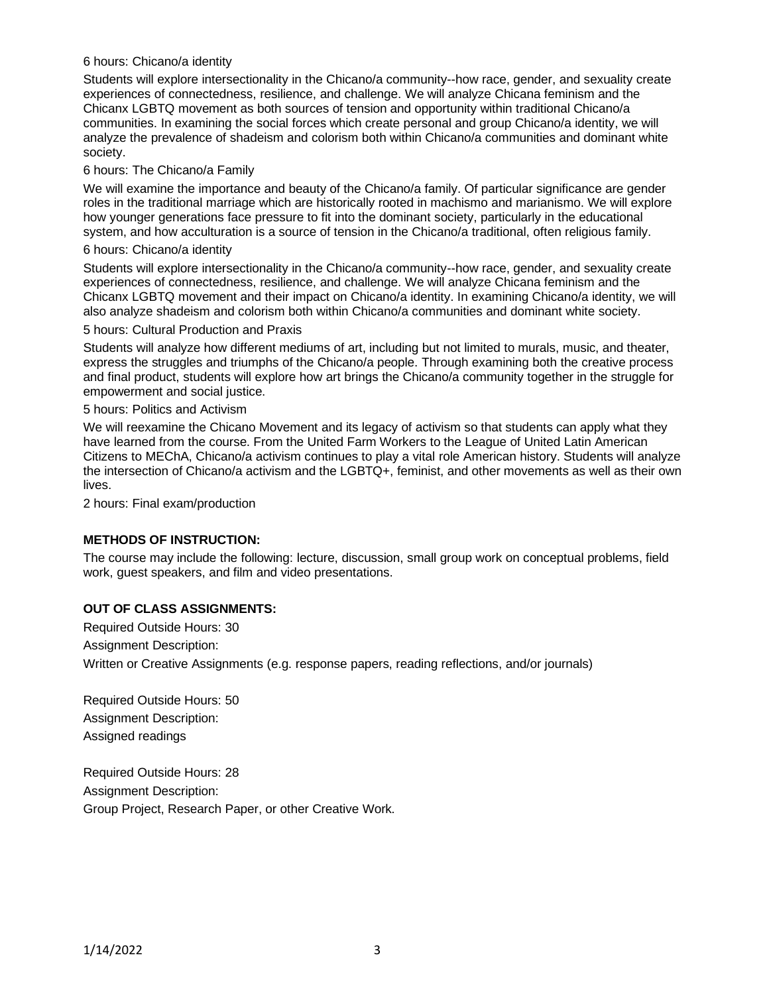## 6 hours: Chicano/a identity

Students will explore intersectionality in the Chicano/a community--how race, gender, and sexuality create experiences of connectedness, resilience, and challenge. We will analyze Chicana feminism and the Chicanx LGBTQ movement as both sources of tension and opportunity within traditional Chicano/a communities. In examining the social forces which create personal and group Chicano/a identity, we will analyze the prevalence of shadeism and colorism both within Chicano/a communities and dominant white society.

#### 6 hours: The Chicano/a Family

We will examine the importance and beauty of the Chicano/a family. Of particular significance are gender roles in the traditional marriage which are historically rooted in machismo and marianismo. We will explore how younger generations face pressure to fit into the dominant society, particularly in the educational system, and how acculturation is a source of tension in the Chicano/a traditional, often religious family.

## 6 hours: Chicano/a identity

Students will explore intersectionality in the Chicano/a community--how race, gender, and sexuality create experiences of connectedness, resilience, and challenge. We will analyze Chicana feminism and the Chicanx LGBTQ movement and their impact on Chicano/a identity. In examining Chicano/a identity, we will also analyze shadeism and colorism both within Chicano/a communities and dominant white society.

#### 5 hours: Cultural Production and Praxis

Students will analyze how different mediums of art, including but not limited to murals, music, and theater, express the struggles and triumphs of the Chicano/a people. Through examining both the creative process and final product, students will explore how art brings the Chicano/a community together in the struggle for empowerment and social justice.

#### 5 hours: Politics and Activism

We will reexamine the Chicano Movement and its legacy of activism so that students can apply what they have learned from the course. From the United Farm Workers to the League of United Latin American Citizens to MEChA, Chicano/a activism continues to play a vital role American history. Students will analyze the intersection of Chicano/a activism and the LGBTQ+, feminist, and other movements as well as their own lives.

2 hours: Final exam/production

## **METHODS OF INSTRUCTION:**

The course may include the following: lecture, discussion, small group work on conceptual problems, field work, guest speakers, and film and video presentations.

## **OUT OF CLASS ASSIGNMENTS:**

Required Outside Hours: 30

Assignment Description:

Written or Creative Assignments (e.g. response papers, reading reflections, and/or journals)

Required Outside Hours: 50 Assignment Description: Assigned readings

Required Outside Hours: 28 Assignment Description: Group Project, Research Paper, or other Creative Work.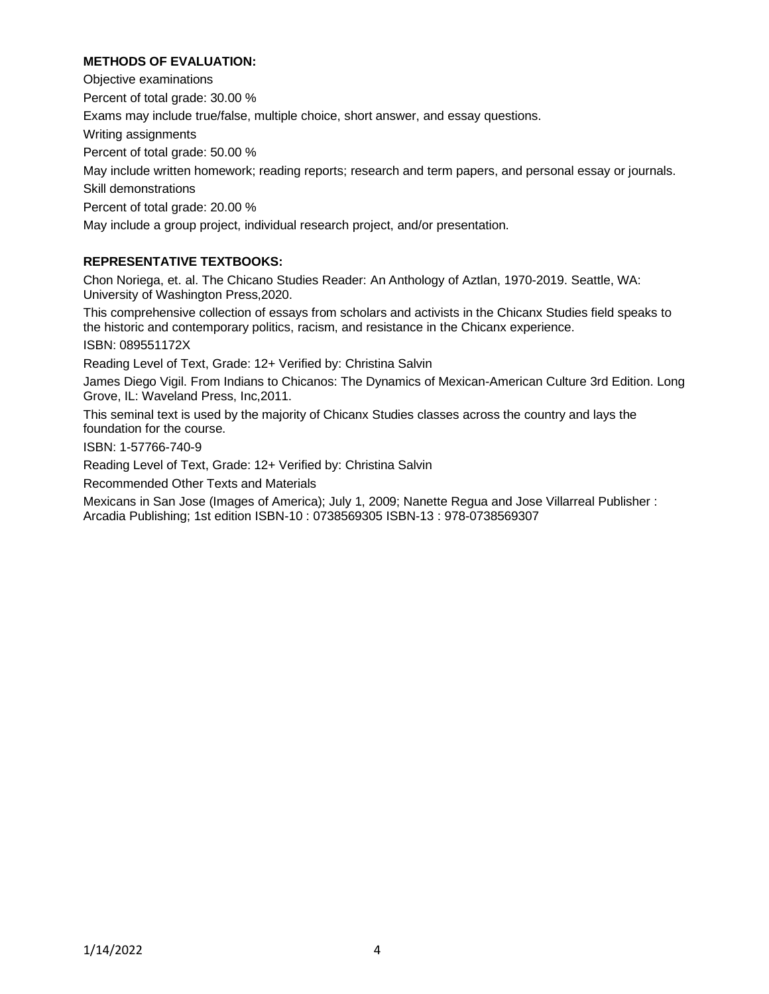# **METHODS OF EVALUATION:**

Objective examinations Percent of total grade: 30.00 % Exams may include true/false, multiple choice, short answer, and essay questions. Writing assignments Percent of total grade: 50.00 % May include written homework; reading reports; research and term papers, and personal essay or journals. Skill demonstrations Percent of total grade: 20.00 % May include a group project, individual research project, and/or presentation.

# **REPRESENTATIVE TEXTBOOKS:**

Chon Noriega, et. al. The Chicano Studies Reader: An Anthology of Aztlan, 1970-2019. Seattle, WA: University of Washington Press,2020.

This comprehensive collection of essays from scholars and activists in the Chicanx Studies field speaks to the historic and contemporary politics, racism, and resistance in the Chicanx experience.

ISBN: 089551172X

Reading Level of Text, Grade: 12+ Verified by: Christina Salvin

James Diego Vigil. From Indians to Chicanos: The Dynamics of Mexican-American Culture 3rd Edition. Long Grove, IL: Waveland Press, Inc,2011.

This seminal text is used by the majority of Chicanx Studies classes across the country and lays the foundation for the course.

ISBN: 1-57766-740-9

Reading Level of Text, Grade: 12+ Verified by: Christina Salvin

Recommended Other Texts and Materials

Mexicans in San Jose (Images of America); July 1, 2009; Nanette Regua and Jose Villarreal Publisher : Arcadia Publishing; 1st edition ISBN-10 : 0738569305 ISBN-13 : 978-0738569307